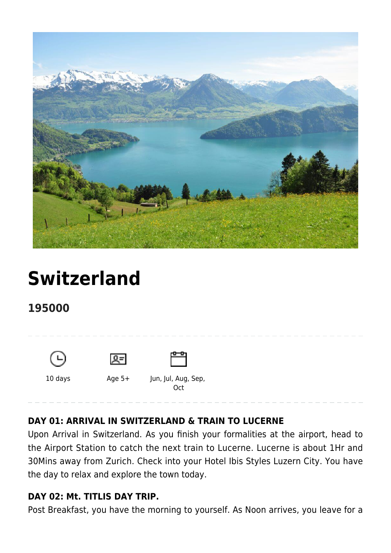

# **[Switzerland](https://www.mylastminutetrip.com/tour/switzerland-sojourn/)**

**195000**







10 days Age 5+ Jun, Jul, Aug, Sep, **Oct** 

# **DAY 01: ARRIVAL IN SWITZERLAND & TRAIN TO LUCERNE**

Upon Arrival in Switzerland. As you finish your formalities at the airport, head to the Airport Station to catch the next train to Lucerne. Lucerne is about 1Hr and 30Mins away from Zurich. Check into your Hotel Ibis Styles Luzern City. You have the day to relax and explore the town today.

### **DAY 02: Mt. TITLIS DAY TRIP.**

Post Breakfast, you have the morning to yourself. As Noon arrives, you leave for a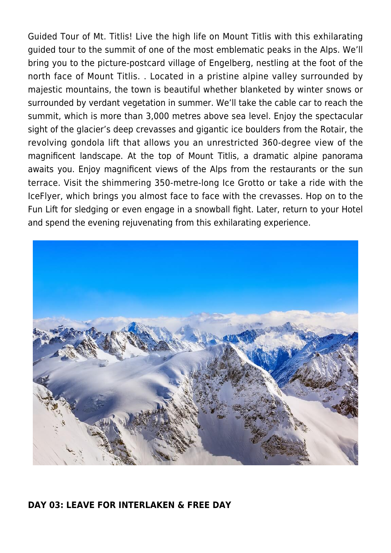Guided Tour of Mt. Titlis! Live the high life on Mount Titlis with this exhilarating guided tour to the summit of one of the most emblematic peaks in the Alps. We'll bring you to the picture-postcard village of Engelberg, nestling at the foot of the north face of Mount Titlis. . Located in a pristine alpine valley surrounded by majestic mountains, the town is beautiful whether blanketed by winter snows or surrounded by verdant vegetation in summer. We'll take the cable car to reach the summit, which is more than 3,000 metres above sea level. Enjoy the spectacular sight of the glacier's deep crevasses and gigantic ice boulders from the Rotair, the revolving gondola lift that allows you an unrestricted 360-degree view of the magnificent landscape. At the top of Mount Titlis, a dramatic alpine panorama awaits you. Enjoy magnificent views of the Alps from the restaurants or the sun terrace. Visit the shimmering 350-metre-long Ice Grotto or take a ride with the IceFlyer, which brings you almost face to face with the crevasses. Hop on to the Fun Lift for sledging or even engage in a snowball fight. Later, return to your Hotel and spend the evening rejuvenating from this exhilarating experience.



#### **DAY 03: LEAVE FOR INTERLAKEN & FREE DAY**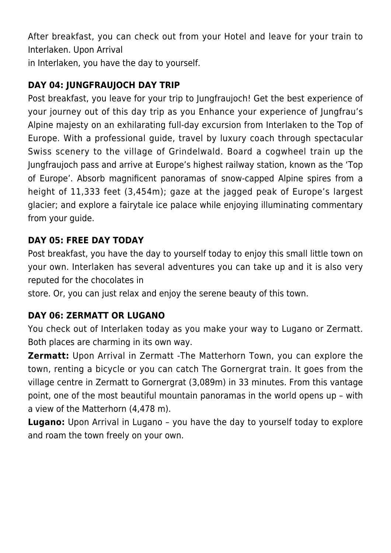After breakfast, you can check out from your Hotel and leave for your train to Interlaken. Upon Arrival

in Interlaken, you have the day to yourself.

# **DAY 04: JUNGFRAUJOCH DAY TRIP**

Post breakfast, you leave for your trip to Jungfraujoch! Get the best experience of your journey out of this day trip as you Enhance your experience of Jungfrau's Alpine majesty on an exhilarating full-day excursion from Interlaken to the Top of Europe. With a professional guide, travel by luxury coach through spectacular Swiss scenery to the village of Grindelwald. Board a cogwheel train up the Jungfraujoch pass and arrive at Europe's highest railway station, known as the 'Top of Europe'. Absorb magnificent panoramas of snow-capped Alpine spires from a height of 11,333 feet (3,454m); gaze at the jagged peak of Europe's largest glacier; and explore a fairytale ice palace while enjoying illuminating commentary from your guide.

# **DAY 05: FREE DAY TODAY**

Post breakfast, you have the day to yourself today to enjoy this small little town on your own. Interlaken has several adventures you can take up and it is also very reputed for the chocolates in

store. Or, you can just relax and enjoy the serene beauty of this town.

# **DAY 06: ZERMATT OR LUGANO**

You check out of Interlaken today as you make your way to Lugano or Zermatt. Both places are charming in its own way.

**Zermatt:** Upon Arrival in Zermatt -The Matterhorn Town, you can explore the town, renting a bicycle or you can catch The Gornergrat train. It goes from the village centre in Zermatt to Gornergrat (3,089m) in 33 minutes. From this vantage point, one of the most beautiful mountain panoramas in the world opens up – with a view of the Matterhorn (4,478 m).

**Lugano:** Upon Arrival in Lugano – you have the day to yourself today to explore and roam the town freely on your own.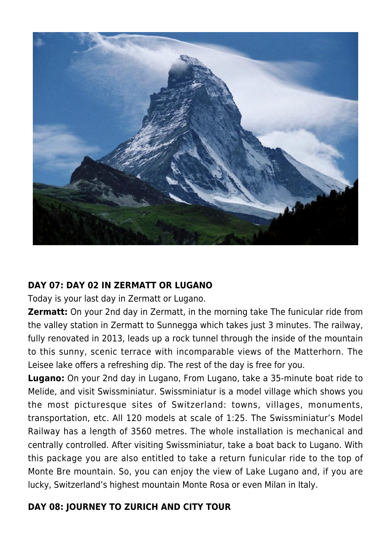

### **DAY 07: DAY 02 IN ZERMATT OR LUGANO**

Today is your last day in Zermatt or Lugano.

**Zermatt:** On your 2nd day in Zermatt, in the morning take The funicular ride from the valley station in Zermatt to Sunnegga which takes just 3 minutes. The railway, fully renovated in 2013, leads up a rock tunnel through the inside of the mountain to this sunny, scenic terrace with incomparable views of the Matterhorn. The Leisee lake offers a refreshing dip. The rest of the day is free for you.

**Lugano:** On your 2nd day in Lugano, From Lugano, take a 35-minute boat ride to Melide, and visit Swissminiatur. Swissminiatur is a model village which shows you the most picturesque sites of Switzerland: towns, villages, monuments, transportation, etc. All 120 models at scale of 1:25. The Swissminiatur's Model Railway has a length of 3560 metres. The whole installation is mechanical and centrally controlled. After visiting Swissminiatur, take a boat back to Lugano. With this package you are also entitled to take a return funicular ride to the top of Monte Bre mountain. So, you can enjoy the view of Lake Lugano and, if you are lucky, Switzerland's highest mountain Monte Rosa or even Milan in Italy.

## **DAY 08: JOURNEY TO ZURICH AND CITY TOUR**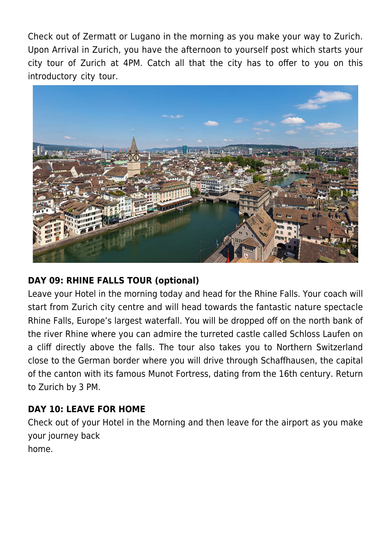Check out of Zermatt or Lugano in the morning as you make your way to Zurich. Upon Arrival in Zurich, you have the afternoon to yourself post which starts your city tour of Zurich at 4PM. Catch all that the city has to offer to you on this introductory city tour.



# **DAY 09: RHINE FALLS TOUR (optional)**

Leave your Hotel in the morning today and head for the Rhine Falls. Your coach will start from Zurich city centre and will head towards the fantastic nature spectacle Rhine Falls, Europe's largest waterfall. You will be dropped off on the north bank of the river Rhine where you can admire the turreted castle called Schloss Laufen on a cliff directly above the falls. The tour also takes you to Northern Switzerland close to the German border where you will drive through Schaffhausen, the capital of the canton with its famous Munot Fortress, dating from the 16th century. Return to Zurich by 3 PM.

## **DAY 10: LEAVE FOR HOME**

Check out of your Hotel in the Morning and then leave for the airport as you make your journey back home.